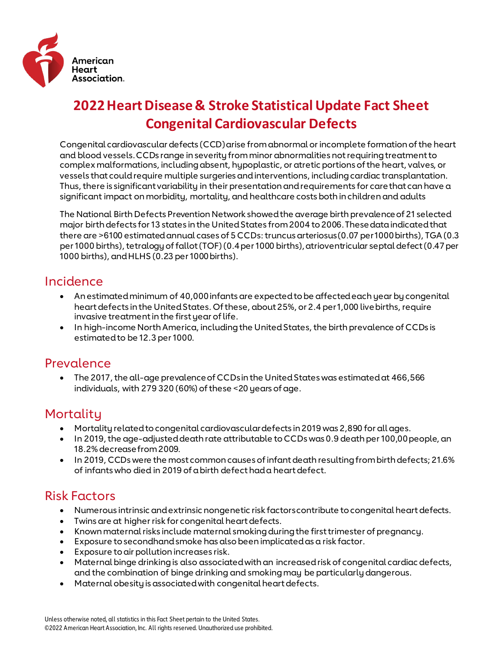

# **2022 Heart Disease & Stroke Statistical Update Fact Sheet Congenital Cardiovascular Defects**

Congenital cardiovascular defects (CCD) arise from abnormal or incomplete formation of the heart and blood vessels. CCDs range in severity from minor abnormalities not requiring treatment to complex malformations, including absent, hypoplastic, or atretic portions of the heart, valves, or vessels that could require multiple surgeries and interventions, including cardiac transplantation. Thus, there is significant variability in their presentation and requirements for care that can have a significant impact on morbidity, mortality, and healthcare costs both in children and adults

The National Birth Defects Prevention Network showed the average birth prevalence of 21 selected major birth defects for 13 states in the United States from 2004 to 2006. These data indicated that there are >6100 estimated annual cases of 5 CCDs: truncus arteriosus (0.07 per 1000 births), TGA (0.3 per 1000 births), tetralogy of fallot (TOF) (0.4 per 1000 births), atrioventricular septal defect (0.47 per 1000 births), and HLHS (0.23 per 1000 births).

### Incidence

- An estimated minimum of 40,000 infants are expected to be affected each year by congenital heart defects in the United States. Of these, about 25%, or 2.4 per 1,000 live births, require invasive treatment in the first year of life.
- In high-income North America, including the United States, the birth prevalence of CCDs is estimated to be 12.3 per 1000.

#### Prevalence

• The 2017, the all-age prevalence of CCDs in the United States was estimated at 466,566 individuals, with 279 320 (60%) of these <20 years of age.

### Mortality

- Mortality related to congenital cardiovascular defects in 2019 was 2,890 for all ages.
- In 2019, the age-adjusted death rate attributable to CCDs was 0.9 death per 100,00 people, an 18.2% decrease from 2009.
- In 2019, CCDs were the most common causes of infant death resulting from birth defects; 21.6% of infants who died in 2019 of a birth defect had a heart defect.

### Risk Factors

- Numerous intrinsic and extrinsic nongenetic risk factors contribute to congenital heart defects.
- Twins are at higher risk for congenital heart defects.
- Known maternal risks include maternal smoking during the first trimester of pregnancy.
- Exposure to secondhand smoke has also been implicated as a risk factor.
- Exposure to air pollution increases risk.
- Maternal binge drinking is also associated with an increased risk of congenital cardiac defects, and the combination of binge drinking and smoking may be particularly dangerous.
- Maternal obesity is associated with congenital heart defects.